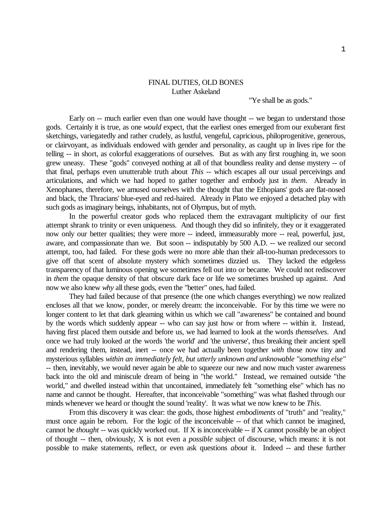## FINAL DUTIES, OLD BONES Luther Askeland

"Ye shall be as gods."

Early on -- much earlier even than one would have thought -- we began to understand those gods. Certainly it is true, as one *would* expect, that the earliest ones emerged from our exuberant first sketchings, variegatedly and rather crudely, as lustful, vengeful, capricious, philoprogenitive, generous, or clairvoyant, as individuals endowed with gender and personality, as caught up in lives ripe for the telling -- in short, as colorful exaggerations of ourselves. But as with any first roughing in, we soon grew uneasy. These "gods" conveyed nothing at all of that boundless reality and dense mystery -- of that final, perhaps even unutterable truth about *This* -- which escapes all our usual perceivings and articulations, and which we had hoped to gather together and embody just in *them*. Already in Xenophanes, therefore, we amused ourselves with the thought that the Ethopians' gods are flat-nosed and black, the Thracians' blue-eyed and red-haired. Already in Plato we enjoyed a detached play with such gods as imaginary beings, inhabitants, not of Olympus, but of myth.

In the powerful creator gods who replaced them the extravagant multiplicity of our first attempt shrank to trinity or even uniqueness. And though they did so infinitely, they or it exaggerated now only our better qualities; they were more -- indeed, immeasurably more -- real, powerful, just, aware, and compassionate than we. But soon -- indisputably by 500 A.D. -- we realized our second attempt, too, had failed. For these gods were no more able than their all-too-human predecessors to give off that scent of absolute mystery which sometimes dizzied us. They lacked the edgeless transparency of that luminous opening we sometimes fell out into or became. We could not rediscover in *them* the opaque density of that obscure dark face or life we sometimes brushed up against. And now we also knew *why* all these gods, even the "better" ones, had failed.

They had failed because of that presence (the one which changes everything) we now realized encloses all that we know, ponder, or merely dream: the inconceivable. For by this time we were no longer content to let that dark gleaming within us which we call "awareness" be contained and bound by the words which suddenly appear -- who can say just how or from where -- within it. Instead, having first placed them outside and before us, we had learned to look at the words *themselves*. And once we had truly looked *at* the words 'the world' and 'the universe', thus breaking their ancient spell and rendering them, instead, inert -- once we had actually been together *with* those now tiny and mysterious syllables *within an immediately felt, but utterly unknown and unknowable "something else"* -- then, inevitably, we would never again be able to squeeze our new and now much vaster awareness back into the old and miniscule dream of being in "the world." Instead, we remained outside "the world," and dwelled instead within that uncontained, immediately felt "something else" which has no name and cannot be thought. Hereafter, that inconceivable "something" was what flashed through our minds whenever we heard or thought the sound 'reality'. It was what we now knew to be *This*.

From this discovery it was clear: the gods, those highest *embodiments* of "truth" and "reality," must once again be reborn. For the logic of the inconceivable -- of that which cannot be imagined, cannot be *thought* -- was quickly worked out. If X is inconceivable -- if X cannot possibly be an object of thought -- then, obviously, X is not even a *possible* subject of discourse, which means: it is not possible to make statements, reflect, or even ask questions *about* it. Indeed -- and these further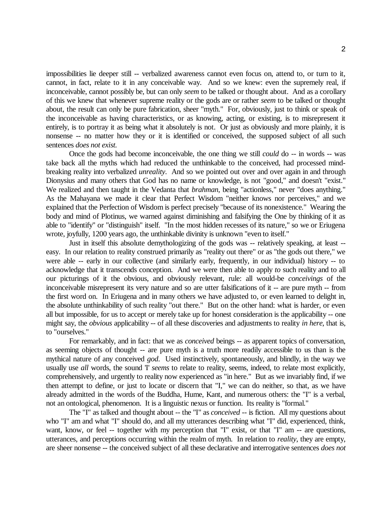impossibilities lie deeper still -- verbalized awareness cannot even focus on, attend to, or turn to it, cannot, in fact, relate to it in any conceivable way. And so we knew: even the supremely real, if inconceivable, cannot possibly be, but can only *seem* to be talked or thought about. And as a corollary of this we knew that whenever supreme reality or the gods are or rather *seem* to be talked or thought about, the result can only be pure fabrication, sheer "myth." For, obviously, just to think or speak of the inconceivable as having characteristics, or as knowing, acting, or existing, is to misrepresent it entirely, is to portray it as being what it absolutely is not. Or just as obviously and more plainly, it is nonsense -- no matter how they or it is identified or conceived, the supposed subject of all such sentences *does not exist.*

Once the gods had become inconceivable, the one thing we still *could* do -- in words -- was take back all the myths which had reduced the unthinkable to the conceived, had processed mindbreaking reality into verbalized *unreality*. And so we pointed out over and over again in and through Dionysius and many others that God has no name or knowledge, is not "good," and doesn't "exist." We realized and then taught in the Vedanta that *brahman*, being "actionless," never "does anything." As the Mahayana we made it clear that Perfect Wisdom "neither knows nor perceives," and we explained that the Perfection of Wisdom is perfect precisely "because of its nonexistence." Wearing the body and mind of Plotinus, we warned against diminishing and falsifying the One by thinking of it as able to "identify" or "distinguish" itself. "In the most hidden recesses of its nature," so we or Eriugena wrote, joyfully, 1200 years ago, the unthinkable divinity is unknown "even to itself."

Just in itself this absolute demythologizing of the gods was -- relatively speaking, at least - easy. In our relation to reality construed primarily as "reality out there" or as "the gods out there," we were able -- early in our collective (and similarly early, frequently, in our individual) history -- to acknowledge that it transcends conception. And we were then able to apply *to* such reality and to all our picturings of it the obvious, and obviously relevant, rule: all would-be *conceivings* of the inconceivable misrepresent its very nature and so are utter falsifications of it -- are pure myth -- from the first word on. In Eriugena and in many others we have adjusted to, or even learned to delight in, the absolute unthinkability of such reality "out there." But on the other hand: what is harder, or even all but impossible, for us to accept or merely take up for honest consideration is the applicability -- one might say, the *obvious* applicability -- of all these discoveries and adjustments to reality *in here*, that is, to "ourselves."

For remarkably, and in fact: that we as *conceived* beings -- as apparent topics of conversation, as seeming objects of thought -- are pure myth is a truth more readily accessible to us than is the mythical nature of any conceived *god*. Used instinctively, spontaneously, and blindly, in the way we usually use *all* words, the sound 'I' *seems* to relate to reality, seems, indeed, to relate most explicitly, comprehensively, and urgently to reality now experienced as "in here." But as we invariably find, if we then attempt to define, or just to locate or discern that "I," we can do neither, so that, as we have already admitted in the words of the Buddha, Hume, Kant, and numerous others: the "I" is a verbal, not an ontological, phenomenon. It is a linguistic nexus or function. Its reality is "formal."

The "I" as talked and thought about -- the "I" as *conceived* -- is fiction. All my questions about who "I" am and what "I" should do, and all my utterances describing what "I" did, experienced, think, want, know, or feel -- together with my perception that "I" exist, or that "I" am -- are questions, utterances, and perceptions occurring within the realm of myth. In relation to *reality*, they are empty, are sheer nonsense -- the conceived subject of all these declarative and interrogative sentences *does not*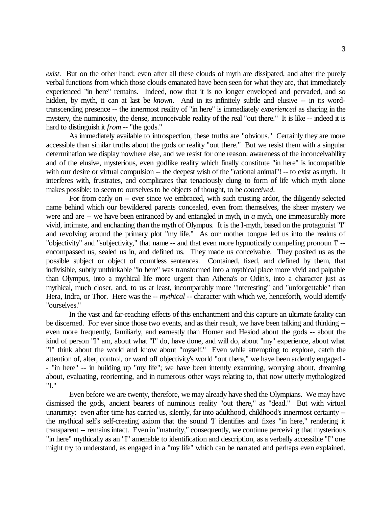*exist*. But on the other hand: even after all these clouds of myth are dissipated, and after the purely verbal functions from which those clouds emanated have been seen for what they are, that immediately experienced "in here" remains. Indeed, now that it is no longer enveloped and pervaded, and so hidden, by myth, it can at last be *known*. And in its infinitely subtle and elusive -- in its wordtranscending presence -- the innermost reality of "in here" is immediately *experienced* as sharing in the mystery, the numinosity, the dense, inconceivable reality of the real "out there." It is like -- indeed it is hard to distinguish it *from* -- "the gods."

As immediately available to introspection, these truths are "obvious." Certainly they are more accessible than similar truths about the gods or reality "out there." But we resist them with a singular determination we display nowhere else, and we resist for one reason: awareness of the inconceivability and of the elusive, mysterious, even godlike reality which finally constitute "in here" is incompatible with our desire or virtual compulsion -- the deepest wish of the "rational animal"! -- to exist as myth. It interferes with, frustrates, and complicates that tenaciously clung to form of life which myth alone makes possible: to seem to ourselves to be objects of thought, to be *conceived*.

For from early on -- ever since we embraced, with such trusting ardor, the diligently selected name behind which our bewildered parents concealed, even from themselves, the sheer mystery we were and are -- we have been entranced by and entangled in myth, in *a* myth, one immeasurably more vivid, intimate, and enchanting than the myth of Olympus. It is the I-myth, based on the protagonist "I" and revolving around the primary plot "my life." As our mother tongue led us into the realms of "objectivity" and "subjectivity," that name -- and that even more hypnotically compelling pronoun 'I' - encompassed us, sealed us in, and defined us. They made us conceivable. They posited us as the possible subject or object of countless sentences. Contained, fixed, and defined by them, that indivisible, subtly unthinkable "in here" was transformed into a mythical place more vivid and palpable than Olympus, into a mythical life more urgent than Athena's or Odin's, into a character just as mythical, much closer, and, to us at least, incomparably more "interesting" and "unforgettable" than Hera, Indra, or Thor. Here was the -- *mythical* -- character with which we, henceforth, would identify "ourselves."

In the vast and far-reaching effects of this enchantment and this capture an ultimate fatality can be discerned. For ever since those two events, and as their result, we have been talking and thinking - even more frequently, familiarly, and earnestly than Homer and Hesiod about the gods -- about the kind of person "I" am, about what "I" do, have done, and will do, about "my" experience, about what "I" think about the world and know about "myself." Even while attempting to explore, catch the attention of, alter, control, or ward off objectivity's world "out there," we have been ardently engaged - - "in here" -- in building up "my life"; we have been intently examining, worrying about, dreaming about, evaluating, reorienting, and in numerous other ways relating to, that now utterly mythologized "I."

Even before we are twenty, therefore, we may already have shed the Olympians. We may have dismissed the gods, ancient bearers of numinous reality "out there," as "dead." But with virtual unanimity: even after time has carried us, silently, far into adulthood, childhood's innermost certainty -the mythical self's self-creating axiom that the sound 'I' identifies and fixes "in here," rendering it transparent -- remains intact. Even in "maturity," consequently, we continue perceiving that mysterious "in here" mythically as an "I" amenable to identification and description, as a verbally accessible "I" one might try to understand, as engaged in a "my life" which can be narrated and perhaps even explained.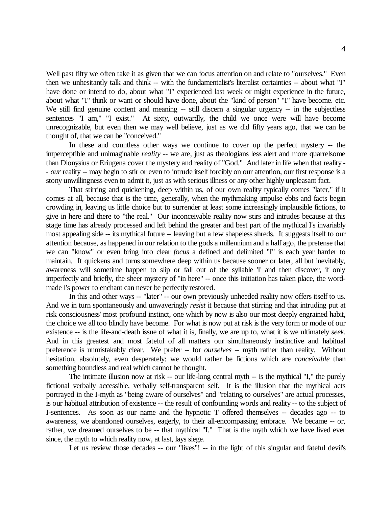Well past fifty we often take it as given that we can focus attention on and relate to "ourselves." Even then we unhesitantly talk and think -- with the fundamentalist's literalist certainties -- about what "I" have done or intend to do, about what "I" experienced last week or might experience in the future, about what "I" think or want or should have done, about the "kind of person" "I" have become. etc. We still find genuine content and meaning -- still discern a singular urgency -- in the subjectless sentences "I am," "I exist." At sixty, outwardly, the child we once were will have become unrecognizable, but even then we may well believe, just as we did fifty years ago, that we can be thought of, that we can be "conceived."

In these and countless other ways we continue to cover up the perfect mystery -- the imperceptible and unimaginable *reality* -- we are, just as theologians less alert and more quarrelsome than Dionysius or Eriugena cover the mystery and reality of "God." And later in life when that reality - - *our* reality -- may begin to stir or even to intrude itself forcibly on our attention, our first response is a stony unwillingness even to admit it, just as with serious illness or any other highly unpleasant fact.

That stirring and quickening, deep within us, of our own reality typically comes "later," if it comes at all, because that is the time, generally, when the mythmaking impulse ebbs and facts begin crowding in, leaving us little choice but to surrender at least some increasingly implausible fictions, to give in here and there to "the real." Our inconceivable reality now stirs and intrudes because at this stage time has already processed and left behind the greater and best part of the mythical I's invariably most appealing side -- its mythical future -- leaving but a few shapeless shreds. It suggests itself to our attention because, as happened in our relation to the gods a millennium and a half ago, the pretense that we can "know" or even bring into clear *focus* a defined and delimited "I" is each year harder to maintain. It quickens and turns somewhere deep within us because sooner or later, all but inevitably, awareness will sometime happen to slip or fall out of the syllable 'I' and then discover, if only imperfectly and briefly, the sheer mystery of "in here" -- once this initiation has taken place, the wordmade I's power to enchant can never be perfectly restored.

In this and other ways -- "later" -- our own previously unheeded reality now offers itself to us. And we in turn spontaneously and unwaveringly *resist* it because that stirring and that intruding put at risk consciousness' most profound instinct, one which by now is also our most deeply engrained habit, the choice we all too blindly have become. For what is now put at risk is the very form or mode of our existence -- is the life-and-death issue of what it is, finally, we are up to, what it is we ultimately *seek*. And in this greatest and most fateful of all matters our simultaneously instinctive and habitual preference is unmistakably clear. We prefer -- for *ourselves* -- myth rather than reality. Without hesitation, absolutely, even desperately: we would rather be fictions which are *conceivable* than something boundless and real which cannot be thought.

The intimate illusion now at risk -- our life-long central myth -- is the mythical "I," the purely fictional verbally accessible, verbally self-transparent self. It is the illusion that the mythical acts portrayed in the I-myth as "being aware of ourselves" and "relating to ourselves" are actual processes, is our habitual attribution of existence -- the result of confounding words and reality -- to the subject of I-sentences. As soon as our name and the hypnotic 'I' offered themselves -- decades ago -- to awareness, we abandoned ourselves, eagerly, to their all-encompassing embrace. We became -- or, rather, we dreamed ourselves to be -- that mythical "I." That is the myth which we have lived ever since, the myth to which reality now, at last, lays siege.

Let us review those decades -- our "lives"! -- in the light of this singular and fateful devil's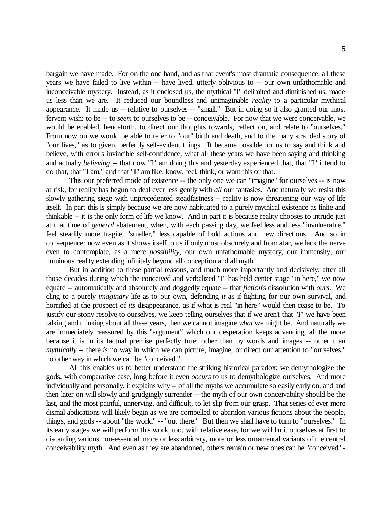bargain we have made. For on the one hand, and as that event's most dramatic consequence: all these years we have failed to live within -- have lived, utterly oblivious to -- our own unfathomable and inconceivable mystery. Instead, as it enclosed us, the mythical "I" delimited and diminished us, made us less than we are. It reduced our boundless and unimaginable *reality* to a particular mythical appearance. It made us -- relative to ourselves -- "small." But in doing so it also granted our most fervent wish: to be -- to *seem* to ourselves to be -- conceivable. For now that we were conceivable, we would be enabled, henceforth, to direct our thoughts towards, reflect on, and relate to "ourselves." From now on we would be able to refer to "our" birth and death, and to the many stranded story of "our lives," as to given, perfectly self-evident things. It became possible for us to say and think and believe, with error's invincible self-confidence, what all these years we have been saying and thinking and actually *believing* -- that now "I" am doing this and yesterday experienced that, that "I" intend to do that, that "I am," and that "I" am like, know, feel, think, or want this or that.

This our preferred mode of existence -- the only one we can "imagine" for ourselves -- is now at risk, for reality has begun to deal ever less gently with *all* our fantasies. And naturally we resist this slowly gathering siege with unprecedented steadfastness -- reality is now threatening our way of life itself. In part this is simply because we are now habituated to a purely mythical existence as finite and thinkable -- it is the only form of life we know. And in part it is because reality chooses to intrude just at that time of *general* abatement, when, with each passing day, we feel less and less "invulnerable," feel steadily more fragile, "smaller," less capable of bold actions and new directions. And so in consequence: now even as it shows itself to us if only most obscurely and from afar, we lack the nerve even to contemplate, as a mere *possibility*, our own unfathomable mystery, our immensity, our numinous reality extending infinitely beyond all conception and all myth.

But in addition to these partial reasons, and much more importantly and decisively: after all those decades during which the conceived and verbalized "I" has held center stage "in here," we now equate -- automatically and absolutely and doggedly equate -- that *fiction*'s dissolution with *ours*. We cling to a purely *imaginary* life as to our own, defending *it* as if fighting for our own survival, and horrified at the prospect of *its* disappearance, as if what is real "in here" would then cease to be. To justify our stony resolve to ourselves, we keep telling ourselves that if we aren't that "I" we have been talking and thinking about all these years, then we cannot imagine *what* we might be. And naturally we are immediately reassured by this "argument" which our desperation keeps advancing, all the more because it is in its factual premise perfectly true: other than by words and images -- other than *mythically* -- there *is* no way in which we can picture, imagine, or direct our attention to "ourselves," no other way in which we can be "conceived."

All this enables us to better understand the striking historical paradox: we demythologize the gods, with comparative ease, long before it even *occurs* to us to demythologize ourselves. And more individually and personally, it explains why -- of all the myths we accumulate so easily early on, and and then later on will slowly and grudgingly surrender -- the myth of our own conceivability should be the last, and the most painful, unnerving, and difficult, to let slip from our grasp. That series of ever more dismal abdications will likely begin as we are compelled to abandon various fictions about the people, things, and gods -- about "the world" -- "out there." But then we shall have to turn to "ourselves." In its early stages we will perform this work, too, with relative ease, for we will limit ourselves at first to discarding various non-essential, more or less arbitrary, more or less ornamental variants of the central conceivability myth. And even as they are abandoned, others remain or new ones can be "conceived" -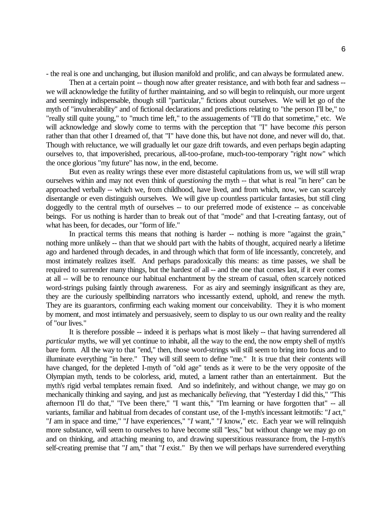- the real is one and unchanging, but illusion manifold and prolific, and can always be formulated anew.

Then at a certain point -- though now after greater resistance, and with both fear and sadness - we will acknowledge the futility of further maintaining, and so will begin to relinquish, our more urgent and seemingly indispensable, though still "particular," fictions about ourselves. We will let go of the myth of "invulnerability" and of fictional declarations and predictions relating to "the person I'll be," to "really still quite young," to "much time left," to the assuagements of "I'll do that sometime," etc. We will acknowledge and slowly come to terms with the perception that "I" have become *this* person rather than that other I dreamed of, that "I" have done this, but have not done, and never will do, that. Though with reluctance, we will gradually let our gaze drift towards, and even perhaps begin adapting ourselves to, that impoverished, precarious, all-too-profane, much-too-temporary "right now" which the once glorious "my future" has now, in the end, become.

But even as reality wrings these ever more distasteful capitulations from us, we will still wrap ourselves within and may not even think of *questioning* the myth -- that what is real "in here" can be approached verbally -- which we, from childhood, have lived, and from which, now, we can scarcely disentangle or even distinguish ourselves. We will give up countless particular fantasies, but still cling doggedly to the central myth of ourselves -- to our preferred mode of existence -- as conceivable beings. For us nothing is harder than to break out of that "mode" and that I-creating fantasy, out of what has been, for decades, our "form of life."

In practical terms this means that nothing is harder -- nothing is more "against the grain," nothing more unlikely -- than that we should part with the habits of thought, acquired nearly a lifetime ago and hardened through decades, in and through which that form of life incessantly, concretely, and most intimately realizes itself. And perhaps paradoxically this means: as time passes, we shall be required to surrender many things, but the hardest of all -- and the one that comes last, if it ever comes at all -- will be to renounce our habitual enchantment by the stream of casual, often scarcely noticed word-strings pulsing faintly through awareness. For as airy and seemingly insignificant as they are, they are the curiously spellbinding narrators who incessantly extend, uphold, and renew the myth. They are its guarantors, confirming each waking moment our conceivability. They it is who moment by moment, and most intimately and persuasively, seem to display to us our own reality and the reality of "our lives."

It is therefore possible -- indeed it is perhaps what is most likely -- that having surrendered all *particular* myths, we will yet continue to inhabit, all the way to the end, the now empty shell of myth's bare form. All the way to that "end," then, those word-strings will still seem to bring into focus and to illuminate everything "in here." They will still seem to define "me." It is true that their *contents* will have changed, for the depleted I-myth of "old age" tends as it were to be the very opposite of the Olympian myth, tends to be colorless, arid, muted, a lament rather than an entertainment. But the myth's rigid verbal templates remain fixed. And so indefinitely, and without change, we may go on mechanically thinking and saying, and just as mechanically *believing,* that "Yesterday I did this," "This afternoon I'll do that," "I've been there," "I want this," "I'm learning or have forgotten that" -- all variants, familiar and habitual from decades of constant use, of the I-myth's incessant leitmotifs: "*I* act," "*I* am in space and time," "*I* have experiences," "*I* want," "*I* know," etc. Each year we will relinquish more substance, will seem to ourselves to have become still "less," but without change we may go on and on thinking, and attaching meaning to, and drawing superstitious reassurance from, the I-myth's self-creating premise that "*I* am," that "*I* exist." By then we will perhaps have surrendered everything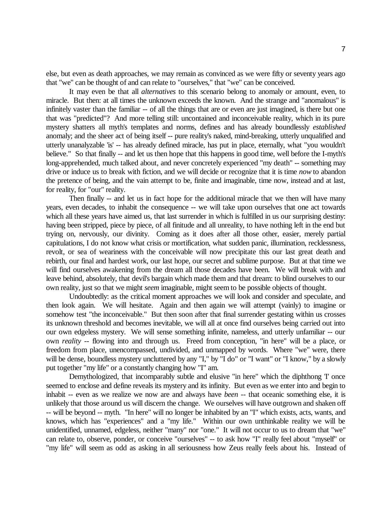else, but even as death approaches, we may remain as convinced as we were fifty or seventy years ago that "we" can be thought of and can relate to "ourselves," that "we" can be conceived.

It may even be that all *alternatives* to this scenario belong to anomaly or amount, even, to miracle. But then: at all times the unknown exceeds the known. And the strange and "anomalous" is infinitely vaster than the familiar -- of all the things that are or even are just imagined, is there but one that was "predicted"? And more telling still: uncontained and inconceivable reality, which in its pure mystery shatters all myth's templates and norms, defines and has already boundlessly *established* anomaly; and the sheer act of being itself -- pure reality's naked, mind-breaking, utterly unqualified and utterly unanalyzable 'is' -- has already defined miracle, has put in place, eternally, what "you wouldn't believe." So that finally -- and let us then hope that this happens in good time, well before the I-myth's long-apprehended, much talked about, and never concretely experienced "my death" -- something may drive or induce us to break with fiction, and we will decide or recognize that it is time *now* to abandon the pretence of being, and the vain attempt to be, finite and imaginable, time now, instead and at last, for reality, for "our" reality.

Then finally -- and let us in fact hope for the additional miracle that we then will have many years, even decades, to inhabit the consequence -- we will take upon ourselves that one act towards which all these years have aimed us, that last surrender in which is fulfilled in us our surprising destiny: having been stripped, piece by piece, of all finitude and all unreality, to have nothing left in the end but trying on, nervously, our divinity. Coming as it does after all those other, easier, merely partial capitulations, I do not know what crisis or mortification, what sudden panic, illumination, recklessness, revolt, or sea of weariness with the conceivable will now precipitate this our last great death and rebirth, our final and hardest work, our last hope, our secret and sublime purpose. But at that time we will find ourselves awakening from the dream all those decades have been. We will break with and leave behind, absolutely, that devil's bargain which made them and that dream: to blind ourselves to our own reality, just so that we might *seem* imaginable, might seem to be possible objects of thought.

Undoubtedly: as the critical moment approaches we will look and consider and speculate, and then look again. We will hesitate. Again and then again we will attempt (vainly) to imagine or somehow test "the inconceivable." But then soon after that final surrender gestating within us crosses its unknown threshold and becomes inevitable, we will all at once find ourselves being carried out into our own edgeless mystery. We will sense something infinite, nameless, and utterly unfamiliar -- our own *reality* -- flowing into and through us. Freed from conception, "in here" will be a place, or freedom from place, unencompassed, undivided, and unmapped by words. Where "we" were, there will be dense, boundless mystery uncluttered by any "I," by "I do" or "I want" or "I know," by a slowly put together "my life" or a constantly changing how "I" am.

Demythologized, that incomparably subtle and elusive "in here" which the diphthong T once seemed to enclose and define reveals its mystery and its infinity. But even as we enter into and begin to inhabit -- even as we realize we now are and always have *been* -- that oceanic something else, it is unlikely that those around us will discern the change. We ourselves will have outgrown and shaken off -- will be beyond -- myth. "In here" will no longer be inhabited by an "I" which exists, acts, wants, and knows, which has "experiences" and a "my life." Within our own unthinkable reality we will be unidentified, unnamed, edgeless, neither "many" nor "one." It will not occur to us to dream that "we" can relate to, observe, ponder, or conceive "ourselves" -- to ask how "I" really feel about "myself" or "my life" will seem as odd as asking in all seriousness how Zeus really feels about his. Instead of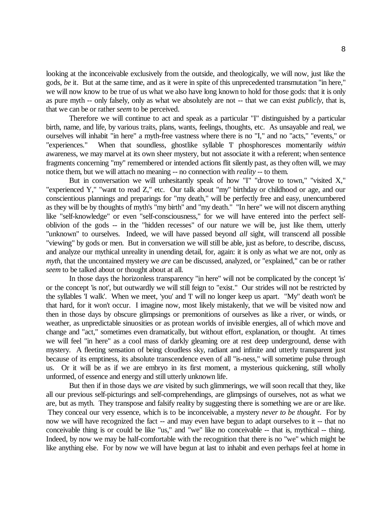looking at the inconceivable exclusively from the outside, and theologically, we will now, just like the gods, *be* it. But at the same time, and as it were in spite of this unprecedented transmutation "in here," we will now know to be true of us what we also have long known to hold for those gods: that it is only as pure myth -- only falsely, only as what we absolutely are not -- that we can exist *publicly*, that is, that we can be or rather *seem* to be perceived.

Therefore we will continue to act and speak as a particular "I" distinguished by a particular birth, name, and life, by various traits, plans, wants, feelings, thoughts, etc. As unsayable and real, we ourselves will inhabit "in here" a myth-free vastness where there is no "I," and no "acts," "events," or "experiences." When that soundless, ghostlike syllable 'I' phosphoresces momentarily *within* awareness, we may marvel at its own sheer mystery, but not associate it with a referent; when sentence fragments concerning "my" remembered or intended actions flit silently past, as they often will, we may notice them, but we will attach no meaning -- no connection with *reality* -- to them.

But in conversation we will unhesitantly speak of how "I" "drove to town," "visited X," "experienced Y," "want to read Z," etc. Our talk about "my" birthday or childhood or age, and our conscientious plannings and preparings for "my death," will be perfectly free and easy, unencumbered as they will be by thoughts of myth's "my birth" and "my death." "In here" we will not discern anything like "self-knowledge" or even "self-consciousness," for we will have entered into the perfect selfoblivion of the gods -- in the "hidden recesses" of our nature we will be, just like them, utterly "unknown" to ourselves. Indeed, we will have passed beyond *all* sight, will transcend all possible "viewing" by gods or men. But in conversation we will still be able, just as before, to describe, discuss, and analyze our mythical unreality in unending detail, for, again: it is only as what we are not, only as *myth*, that the uncontained mystery we *are* can be discussed, analyzed, or "explained," can be or rather *seem* to be talked about or thought about at all.

In those days the horizonless transparency "in here" will not be complicated by the concept 'is' or the concept 'is not', but outwardly we will still feign to "exist." Our strides will not be restricted by the syllables 'I walk'. When we meet, 'you' and 'I' will no longer keep us apart. "My" death won't be that hard, for it won't occur. I imagine now, most likely mistakenly, that we will be visited now and then in those days by obscure glimpsings or premonitions of ourselves as like a river, or winds, or weather, as unpredictable sinuosities or as protean worlds of invisible energies, all of which move and change and "act," sometimes even dramatically, but without effort, explanation, or thought. At times we will feel "in here" as a cool mass of darkly gleaming ore at rest deep underground, dense with mystery. A fleeting sensation of being cloudless sky, radiant and infinite and utterly transparent just because of its emptiness, its absolute transcendence even of all "is-ness," will sometime pulse through us. Or it will be as if we are embryo in its first moment, a mysterious quickening, still wholly unformed, of essence and energy and still utterly unknown life.

But then if in those days we *are* visited by such glimmerings, we will soon recall that they, like all our previous self-picturings and self-comprehendings, are glimpsings of ourselves, not as what we are, but as myth. They transpose and falsify reality by suggesting there is something we are or are like. They conceal our very essence, which is to be inconceivable, a mystery *never to be thought*. For by now we will have recognized the fact -- and may even have begun to adapt ourselves to it -- that no conceivable thing is or could be like "us," and "we" like no conceivable -- that is, mythical -- thing. Indeed, by now we may be half-comfortable with the recognition that there is no "we" which might be like anything else. For by now we will have begun at last to inhabit and even perhaps feel at home in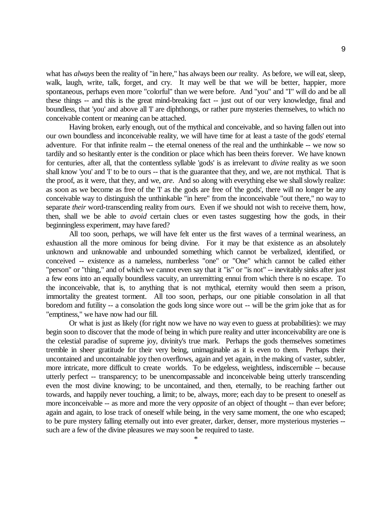what has *always* been the reality of "in here," has always been *our* reality. As before, we will eat, sleep, walk, laugh, write, talk, forget, and cry. It may well be that we will be better, happier, more spontaneous, perhaps even more "colorful" than we were before. And "you" and "I" will do and be all these things -- and this is the great mind-breaking fact -- just out of our very knowledge, final and boundless, that 'you' and above all 'I' are diphthongs, or rather pure mysteries themselves, to which no conceivable content or meaning can be attached.

Having broken, early enough, out of the mythical and conceivable, and so having fallen out into our own boundless and inconceivable reality, we will have time for at least a taste of the gods' eternal adventure. For that infinite realm -- the eternal oneness of the real and the unthinkable -- we now so tardily and so hesitantly enter is the condition or place which has been theirs forever. We have known for centuries, after all, that the contentless syllable 'gods' is as irrelevant to *divine* reality as we soon shall know 'you' and 'I' to be to ours -- that is the guarantee that they, and we, are not mythical. That is the proof, as it were, that they, and we, *are*. And so along with everything else we shall slowly realize: as soon as we become as free of the 'I' as the gods are free of 'the gods', there will no longer be any conceivable way to distinguish the unthinkable "in here" from the inconceivable "out there," no way to separate *their* word-transcending reality from *ours*. Even if we should not wish to receive them, how, then, shall we be able to *avoid* certain clues or even tastes suggesting how the gods, in their beginningless experiment, may have fared?

All too soon, perhaps, we will have felt enter us the first waves of a terminal weariness, an exhaustion all the more ominous for being divine. For it may be that existence as an absolutely unknown and unknowable and unbounded something which cannot be verbalized, identified, or conceived -- existence as a nameless, numberless "one" or "One" which cannot be called either "person" or "thing," and of which we cannot even say that it "is" or "is not" -- inevitably sinks after just a few eons into an equally boundless vacuity, an unremitting ennui from which there is no escape. To the inconceivable, that is, to anything that is not mythical, eternity would then seem a prison, immortality the greatest torment. All too soon, perhaps, our one pitiable consolation in all that boredom and futility -- a consolation the gods long since wore out -- will be the grim joke that as for "emptiness," we have now had our fill.

Or what is just as likely (for right now we have no way even to guess at probabilities): we may begin soon to discover that the mode of being in which pure reality and utter inconceivability are one is the celestial paradise of supreme joy, divinity's true mark. Perhaps the gods themselves sometimes tremble in sheer gratitude for their very being, unimaginable as it is even to them. Perhaps their uncontained and uncontainable joy then overflows, again and yet again, in the making of vaster, subtler, more intricate, more difficult to create worlds. To be edgeless, weightless, indiscernible -- because utterly perfect -- transparency; to be unencompassable and inconceivable being utterly transcending even the most divine knowing; to be uncontained, and then, eternally, to be reaching farther out towards, and happily never touching, a limit; to be, always, more; each day to be present to oneself as more inconceivable -- as more and more the very *opposite* of an object of thought -- than ever before; again and again, to lose track of oneself while being, in the very same moment, the one who escaped; to be pure mystery falling eternally out into ever greater, darker, denser, more mysterious mysteries - such are a few of the divine pleasures we may soon be required to taste.